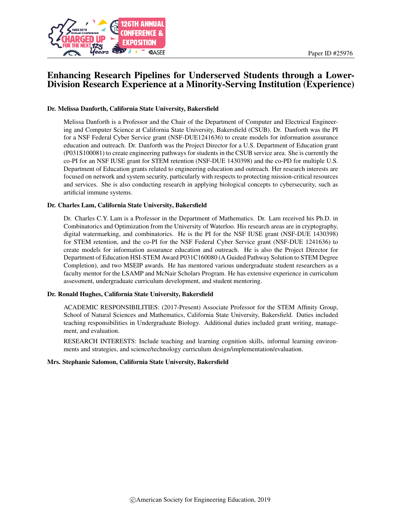

# Enhancing Research Pipelines for Underserved Students through a Lower-Division Research Experience at a Minority-Serving Institution (Experience)

#### Dr. Melissa Danforth, California State University, Bakersfield

Melissa Danforth is a Professor and the Chair of the Department of Computer and Electrical Engineering and Computer Science at California State University, Bakersfield (CSUB). Dr. Danforth was the PI for a NSF Federal Cyber Service grant (NSF-DUE1241636) to create models for information assurance education and outreach. Dr. Danforth was the Project Director for a U.S. Department of Education grant (P031S100081) to create engineering pathways for students in the CSUB service area. She is currently the co-PI for an NSF IUSE grant for STEM retention (NSF-DUE 1430398) and the co-PD for multiple U.S. Department of Education grants related to engineering education and outreach. Her research interests are focused on network and system security, particularly with respects to protecting mission-critical resources and services. She is also conducting research in applying biological concepts to cybersecurity, such as artificial immune systems.

#### Dr. Charles Lam, California State University, Bakersfield

Dr. Charles C.Y. Lam is a Professor in the Department of Mathematics. Dr. Lam received his Ph.D. in Combinatorics and Optimization from the University of Waterloo. His research areas are in cryptography, digital watermarking, and combinatorics. He is the PI for the NSF IUSE grant (NSF-DUE 1430398) for STEM retention, and the co-PI for the NSF Federal Cyber Service grant (NSF-DUE 1241636) to create models for information assurance education and outreach. He is also the Project Director for Department of Education HSI-STEM Award P031C160080 (A Guided Pathway Solution to STEM Degree Completion), and two MSEIP awards. He has mentored various undergraduate student researchers as a faculty mentor for the LSAMP and McNair Scholars Program. He has extensive experience in curriculum assessment, undergraduate curriculum development, and student mentoring.

#### Dr. Ronald Hughes, California State University, Bakersfield

ACADEMIC RESPONSIBILITIES: (2017-Present) Associate Professor for the STEM Affinity Group, School of Natural Sciences and Mathematics, California State University, Bakersfield. Duties included teaching responsibilities in Undergraduate Biology. Additional duties included grant writing, management, and evaluation.

RESEARCH INTERESTS: Include teaching and learning cognition skills, informal learning environments and strategies, and science/technology curriculum design/implementation/evaluation.

#### Mrs. Stephanie Salomon, California State University, Bakersfield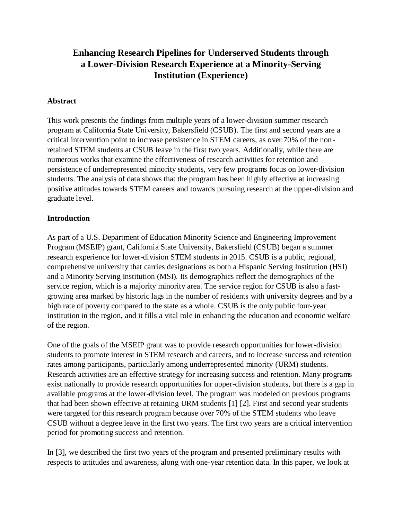# **Enhancing Research Pipelines for Underserved Students through a Lower-Division Research Experience at a Minority-Serving Institution (Experience)**

### **Abstract**

This work presents the findings from multiple years of a lower-division summer research program at California State University, Bakersfield (CSUB). The first and second years are a critical intervention point to increase persistence in STEM careers, as over 70% of the nonretained STEM students at CSUB leave in the first two years. Additionally, while there are numerous works that examine the effectiveness of research activities for retention and persistence of underrepresented minority students, very few programs focus on lower-division students. The analysis of data shows that the program has been highly effective at increasing positive attitudes towards STEM careers and towards pursuing research at the upper-division and graduate level.

## **Introduction**

As part of a U.S. Department of Education Minority Science and Engineering Improvement Program (MSEIP) grant, California State University, Bakersfield (CSUB) began a summer research experience for lower-division STEM students in 2015. CSUB is a public, regional, comprehensive university that carries designations as both a Hispanic Serving Institution (HSI) and a Minority Serving Institution (MSI). Its demographics reflect the demographics of the service region, which is a majority minority area. The service region for CSUB is also a fastgrowing area marked by historic lags in the number of residents with university degrees and by a high rate of poverty compared to the state as a whole. CSUB is the only public four-year institution in the region, and it fills a vital role in enhancing the education and economic welfare of the region.

One of the goals of the MSEIP grant was to provide research opportunities for lower-division students to promote interest in STEM research and careers, and to increase success and retention rates among participants, particularly among underrepresented minority (URM) students. Research activities are an effective strategy for increasing success and retention. Many programs exist nationally to provide research opportunities for upper-division students, but there is a gap in available programs at the lower-division level. The program was modeled on previous programs that had been shown effective at retaining URM students [1] [2]. First and second year students were targeted for this research program because over 70% of the STEM students who leave CSUB without a degree leave in the first two years. The first two years are a critical intervention period for promoting success and retention.

In [3], we described the first two years of the program and presented preliminary results with respects to attitudes and awareness, along with one-year retention data. In this paper, we look at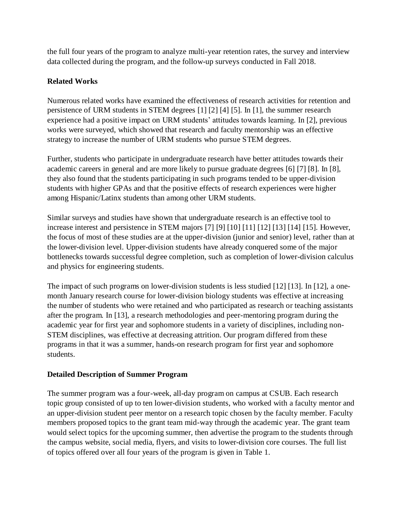the full four years of the program to analyze multi-year retention rates, the survey and interview data collected during the program, and the follow-up surveys conducted in Fall 2018.

# **Related Works**

Numerous related works have examined the effectiveness of research activities for retention and persistence of URM students in STEM degrees [1] [2] [4] [5]. In [1], the summer research experience had a positive impact on URM students' attitudes towards learning. In [2], previous works were surveyed, which showed that research and faculty mentorship was an effective strategy to increase the number of URM students who pursue STEM degrees.

Further, students who participate in undergraduate research have better attitudes towards their academic careers in general and are more likely to pursue graduate degrees [6] [7] [8]. In [8], they also found that the students participating in such programs tended to be upper-division students with higher GPAs and that the positive effects of research experiences were higher among Hispanic/Latinx students than among other URM students.

Similar surveys and studies have shown that undergraduate research is an effective tool to increase interest and persistence in STEM majors [7] [9] [10] [11] [12] [13] [14] [15]. However, the focus of most of these studies are at the upper-division (junior and senior) level, rather than at the lower-division level. Upper-division students have already conquered some of the major bottlenecks towards successful degree completion, such as completion of lower-division calculus and physics for engineering students.

The impact of such programs on lower-division students is less studied [12] [13]. In [12], a onemonth January research course for lower-division biology students was effective at increasing the number of students who were retained and who participated as research or teaching assistants after the program. In [13], a research methodologies and peer-mentoring program during the academic year for first year and sophomore students in a variety of disciplines, including non-STEM disciplines, was effective at decreasing attrition. Our program differed from these programs in that it was a summer, hands-on research program for first year and sophomore students.

### **Detailed Description of Summer Program**

The summer program was a four-week, all-day program on campus at CSUB. Each research topic group consisted of up to ten lower-division students, who worked with a faculty mentor and an upper-division student peer mentor on a research topic chosen by the faculty member. Faculty members proposed topics to the grant team mid-way through the academic year. The grant team would select topics for the upcoming summer, then advertise the program to the students through the campus website, social media, flyers, and visits to lower-division core courses. The full list of topics offered over all four years of the program is given in [Table 1.](#page-3-0)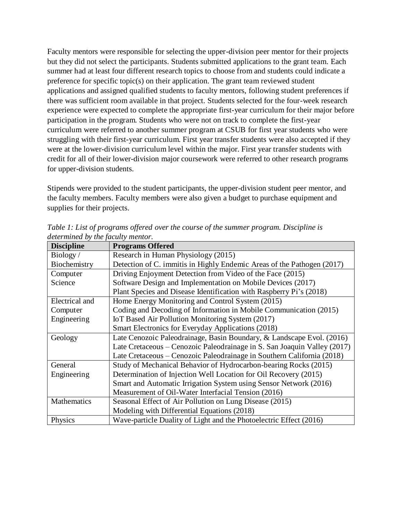Faculty mentors were responsible for selecting the upper-division peer mentor for their projects but they did not select the participants. Students submitted applications to the grant team. Each summer had at least four different research topics to choose from and students could indicate a preference for specific topic(s) on their application. The grant team reviewed student applications and assigned qualified students to faculty mentors, following student preferences if there was sufficient room available in that project. Students selected for the four-week research experience were expected to complete the appropriate first-year curriculum for their major before participation in the program. Students who were not on track to complete the first-year curriculum were referred to another summer program at CSUB for first year students who were struggling with their first-year curriculum. First year transfer students were also accepted if they were at the lower-division curriculum level within the major. First year transfer students with credit for all of their lower-division major coursework were referred to other research programs for upper-division students.

Stipends were provided to the student participants, the upper-division student peer mentor, and the faculty members. Faculty members were also given a budget to purchase equipment and supplies for their projects.

| <b>Discipline</b> | <b>Programs Offered</b>                                                  |  |  |
|-------------------|--------------------------------------------------------------------------|--|--|
| Biology/          | Research in Human Physiology (2015)                                      |  |  |
| Biochemistry      | Detection of C. immitis in Highly Endemic Areas of the Pathogen (2017)   |  |  |
| Computer          | Driving Enjoyment Detection from Video of the Face (2015)                |  |  |
| Science           | Software Design and Implementation on Mobile Devices (2017)              |  |  |
|                   | Plant Species and Disease Identification with Raspberry Pi's (2018)      |  |  |
| Electrical and    | Home Energy Monitoring and Control System (2015)                         |  |  |
| Computer          | Coding and Decoding of Information in Mobile Communication (2015)        |  |  |
| Engineering       | IoT Based Air Pollution Monitoring System (2017)                         |  |  |
|                   | Smart Electronics for Everyday Applications (2018)                       |  |  |
| Geology           | Late Cenozoic Paleodrainage, Basin Boundary, & Landscape Evol. (2016)    |  |  |
|                   | Late Cretaceous – Cenozoic Paleodrainage in S. San Joaquin Valley (2017) |  |  |
|                   | Late Cretaceous – Cenozoic Paleodrainage in Southern California (2018)   |  |  |
| General           | Study of Mechanical Behavior of Hydrocarbon-bearing Rocks (2015)         |  |  |
| Engineering       | Determination of Injection Well Location for Oil Recovery (2015)         |  |  |
|                   | Smart and Automatic Irrigation System using Sensor Network (2016)        |  |  |
|                   | Measurement of Oil-Water Interfacial Tension (2016)                      |  |  |
| Mathematics       | Seasonal Effect of Air Pollution on Lung Disease (2015)                  |  |  |
|                   | Modeling with Differential Equations (2018)                              |  |  |
| Physics           | Wave-particle Duality of Light and the Photoelectric Effect (2016)       |  |  |

<span id="page-3-0"></span>*Table 1: List of programs offered over the course of the summer program. Discipline is determined by the faculty mentor.*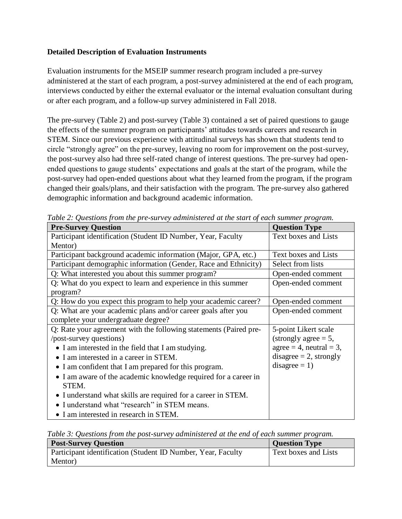### **Detailed Description of Evaluation Instruments**

Evaluation instruments for the MSEIP summer research program included a pre-survey administered at the start of each program, a post-survey administered at the end of each program, interviews conducted by either the external evaluator or the internal evaluation consultant during or after each program, and a follow-up survey administered in Fall 2018.

The pre-survey [\(Table 2\)](#page-4-0) and post-survey [\(Table 3\)](#page-4-1) contained a set of paired questions to gauge the effects of the summer program on participants' attitudes towards careers and research in STEM. Since our previous experience with attitudinal surveys has shown that students tend to circle "strongly agree" on the pre-survey, leaving no room for improvement on the post-survey, the post-survey also had three self-rated change of interest questions. The pre-survey had openended questions to gauge students' expectations and goals at the start of the program, while the post-survey had open-ended questions about what they learned from the program, if the program changed their goals/plans, and their satisfaction with the program. The pre-survey also gathered demographic information and background academic information.

| e dore <b>2.</b> Guestions from the pre-startery daminister cardinal start of<br><b>Pre-Survey Question</b> | $\alpha$<br><b>Question Type</b> |
|-------------------------------------------------------------------------------------------------------------|----------------------------------|
| Participant identification (Student ID Number, Year, Faculty                                                | Text boxes and Lists             |
| Mentor)                                                                                                     |                                  |
| Participant background academic information (Major, GPA, etc.)                                              | Text boxes and Lists             |
| Participant demographic information (Gender, Race and Ethnicity)                                            | Select from lists                |
| Q: What interested you about this summer program?                                                           | Open-ended comment               |
| Q: What do you expect to learn and experience in this summer                                                | Open-ended comment               |
| program?                                                                                                    |                                  |
| Q: How do you expect this program to help your academic career?                                             | Open-ended comment               |
| Q: What are your academic plans and/or career goals after you                                               | Open-ended comment               |
| complete your undergraduate degree?                                                                         |                                  |
| Q: Rate your agreement with the following statements (Paired pre-                                           | 5-point Likert scale             |
| /post-survey questions)                                                                                     | $(strongly agree = 5,$           |
| • I am interested in the field that I am studying.                                                          | $agree = 4$ , neutral = 3,       |
| • I am interested in a career in STEM.                                                                      | disagree $= 2$ , strongly        |
| • I am confident that I am prepared for this program.                                                       | $disagree = 1)$                  |
| • I am aware of the academic knowledge required for a career in                                             |                                  |
| STEM.                                                                                                       |                                  |
| • I understand what skills are required for a career in STEM.                                               |                                  |
| • I understand what "research" in STEM means.                                                               |                                  |
| • I am interested in research in STEM.                                                                      |                                  |

<span id="page-4-0"></span>*Table 2: Questions from the pre-survey administered at the start of each summer program.*

<span id="page-4-1"></span>*Table 3: Questions from the post-survey administered at the end of each summer program.*

| <b>Post-Survey Question</b>                                         | <b>Question Type</b> |
|---------------------------------------------------------------------|----------------------|
| <b>Participant identification (Student ID Number, Year, Faculty</b> | Text boxes and Lists |
| Mentor)                                                             |                      |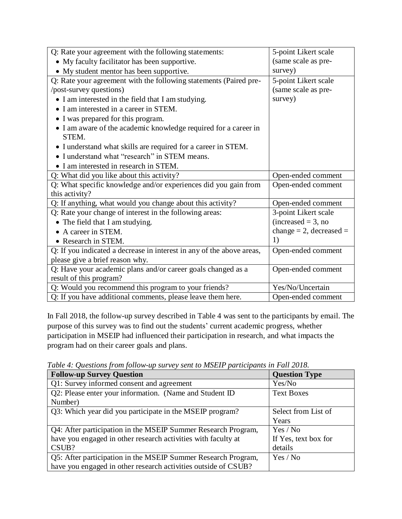| Q: Rate your agreement with the following statements:                 | 5-point Likert scale    |
|-----------------------------------------------------------------------|-------------------------|
| • My faculty facilitator has been supportive.                         | (same scale as pre-     |
| • My student mentor has been supportive.                              | survey)                 |
| Q: Rate your agreement with the following statements (Paired pre-     | 5-point Likert scale    |
| /post-survey questions)                                               | (same scale as pre-     |
| • I am interested in the field that I am studying.                    | survey)                 |
| • I am interested in a career in STEM.                                |                         |
| • I was prepared for this program.                                    |                         |
| • I am aware of the academic knowledge required for a career in       |                         |
| STEM.                                                                 |                         |
| • I understand what skills are required for a career in STEM.         |                         |
| • I understand what "research" in STEM means.                         |                         |
| • I am interested in research in STEM.                                |                         |
| Q: What did you like about this activity?                             | Open-ended comment      |
| Q: What specific knowledge and/or experiences did you gain from       | Open-ended comment      |
| this activity?                                                        |                         |
| Q: If anything, what would you change about this activity?            | Open-ended comment      |
| Q: Rate your change of interest in the following areas:               | 3-point Likert scale    |
| • The field that I am studying.                                       | $increased = 3$ , no    |
| • A career in STEM.                                                   | change = 2, decreased = |
| • Research in STEM.                                                   | 1)                      |
| Q: If you indicated a decrease in interest in any of the above areas, | Open-ended comment      |
| please give a brief reason why.                                       |                         |
| Q: Have your academic plans and/or career goals changed as a          | Open-ended comment      |
| result of this program?                                               |                         |
| Q: Would you recommend this program to your friends?                  | Yes/No/Uncertain        |
| Q: If you have additional comments, please leave them here.           | Open-ended comment      |

In Fall 2018, the follow-up survey described in [Table 4](#page-5-0) was sent to the participants by email. The purpose of this survey was to find out the students' current academic progress, whether participation in MSEIP had influenced their participation in research, and what impacts the program had on their career goals and plans.

**Follow-up Survey Question Question Question Question Question Question Question** Q1: Survey informed consent and agreement  $\begin{array}{c|c}\n \hline\n \end{array}$  Yes/No Q2: Please enter your information. (Name and Student ID Number) Text Boxes  $Q3$ : Which year did you participate in the MSEIP program? Select from List of Years Q4: After participation in the MSEIP Summer Research Program, have you engaged in other research activities with faculty at CSUB? Yes / No If Yes, text box for details Q5: After participation in the MSEIP Summer Research Program, have you engaged in other research activities outside of CSUB? Yes / No

<span id="page-5-0"></span>*Table 4: Questions from follow-up survey sent to MSEIP participants in Fall 2018.*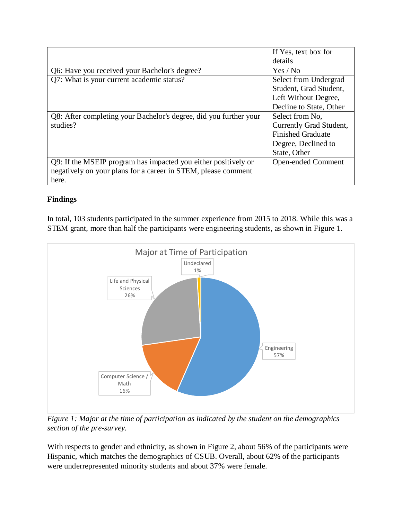|                                                                   | If Yes, text box for      |
|-------------------------------------------------------------------|---------------------------|
|                                                                   | details                   |
| Q6: Have you received your Bachelor's degree?                     | Yes / No                  |
| Q7: What is your current academic status?                         | Select from Undergrad     |
|                                                                   | Student, Grad Student,    |
|                                                                   | Left Without Degree,      |
|                                                                   | Decline to State, Other   |
| Q8: After completing your Bachelor's degree, did you further your | Select from No.           |
| studies?                                                          | Currently Grad Student,   |
|                                                                   | <b>Finished Graduate</b>  |
|                                                                   | Degree, Declined to       |
|                                                                   | State, Other              |
| Q9: If the MSEIP program has impacted you either positively or    | <b>Open-ended Comment</b> |
| negatively on your plans for a career in STEM, please comment     |                           |
| here.                                                             |                           |

# **Findings**

In total, 103 students participated in the summer experience from 2015 to 2018. While this was a STEM grant, more than half the participants were engineering students, as shown in [Figure 1.](#page-6-0)



<span id="page-6-0"></span>*Figure 1: Major at the time of participation as indicated by the student on the demographics section of the pre-survey.*

With respects to gender and ethnicity, as shown in [Figure 2,](#page-7-0) about 56% of the participants were Hispanic, which matches the demographics of CSUB. Overall, about 62% of the participants were underrepresented minority students and about 37% were female.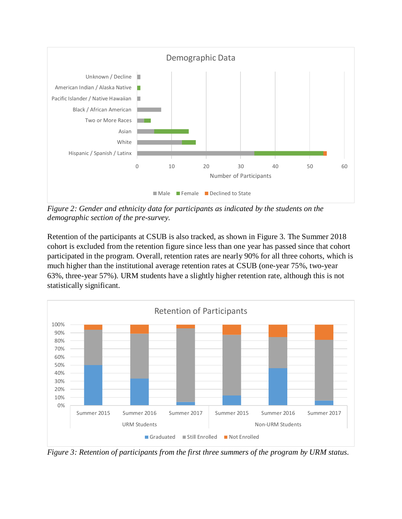

<span id="page-7-0"></span>*Figure 2: Gender and ethnicity data for participants as indicated by the students on the demographic section of the pre-survey.*

Retention of the participants at CSUB is also tracked, as shown in [Figure 3.](#page-7-1) The Summer 2018 cohort is excluded from the retention figure since less than one year has passed since that cohort participated in the program. Overall, retention rates are nearly 90% for all three cohorts, which is much higher than the institutional average retention rates at CSUB (one-year 75%, two-year 63%, three-year 57%). URM students have a slightly higher retention rate, although this is not statistically significant.



<span id="page-7-1"></span>*Figure 3: Retention of participants from the first three summers of the program by URM status.*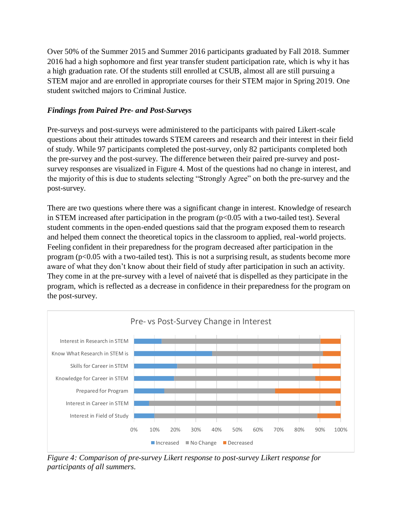Over 50% of the Summer 2015 and Summer 2016 participants graduated by Fall 2018. Summer 2016 had a high sophomore and first year transfer student participation rate, which is why it has a high graduation rate. Of the students still enrolled at CSUB, almost all are still pursuing a STEM major and are enrolled in appropriate courses for their STEM major in Spring 2019. One student switched majors to Criminal Justice.

# *Findings from Paired Pre- and Post-Surveys*

Pre-surveys and post-surveys were administered to the participants with paired Likert-scale questions about their attitudes towards STEM careers and research and their interest in their field of study. While 97 participants completed the post-survey, only 82 participants completed both the pre-survey and the post-survey. The difference between their paired pre-survey and postsurvey responses are visualized in [Figure 4.](#page-8-0) Most of the questions had no change in interest, and the majority of this is due to students selecting "Strongly Agree" on both the pre-survey and the post-survey.

There are two questions where there was a significant change in interest. Knowledge of research in STEM increased after participation in the program  $(p<0.05$  with a two-tailed test). Several student comments in the open-ended questions said that the program exposed them to research and helped them connect the theoretical topics in the classroom to applied, real-world projects. Feeling confident in their preparedness for the program decreased after participation in the program ( $p<0.05$  with a two-tailed test). This is not a surprising result, as students become more aware of what they don't know about their field of study after participation in such an activity. They come in at the pre-survey with a level of naiveté that is dispelled as they participate in the program, which is reflected as a decrease in confidence in their preparedness for the program on the post-survey.



<span id="page-8-0"></span>*Figure 4: Comparison of pre-survey Likert response to post-survey Likert response for participants of all summers.*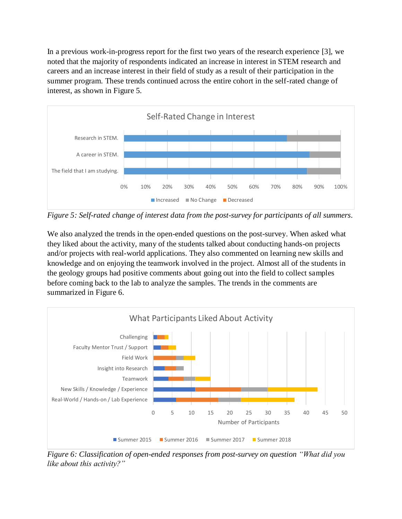In a previous work-in-progress report for the first two years of the research experience [3], we noted that the majority of respondents indicated an increase in interest in STEM research and careers and an increase interest in their field of study as a result of their participation in the summer program. These trends continued across the entire cohort in the self-rated change of interest, as shown in [Figure 5.](#page-9-0)



<span id="page-9-0"></span>*Figure 5: Self-rated change of interest data from the post-survey for participants of all summers.*

We also analyzed the trends in the open-ended questions on the post-survey. When asked what they liked about the activity, many of the students talked about conducting hands-on projects and/or projects with real-world applications. They also commented on learning new skills and knowledge and on enjoying the teamwork involved in the project. Almost all of the students in the geology groups had positive comments about going out into the field to collect samples before coming back to the lab to analyze the samples. The trends in the comments are summarized in [Figure 6.](#page-9-1)



<span id="page-9-1"></span>*Figure 6: Classification of open-ended responses from post-survey on question "What did you like about this activity?"*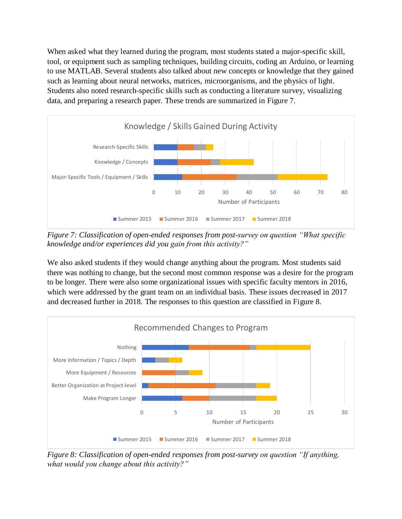When asked what they learned during the program, most students stated a major-specific skill, tool, or equipment such as sampling techniques, building circuits, coding an Arduino, or learning to use MATLAB. Several students also talked about new concepts or knowledge that they gained such as learning about neural networks, matrices, microorganisms, and the physics of light. Students also noted research-specific skills such as conducting a literature survey, visualizing data, and preparing a research paper. These trends are summarized in [Figure 7.](#page-10-0)



<span id="page-10-0"></span>*Figure 7: Classification of open-ended responses from post-survey on question "What specific knowledge and/or experiences did you gain from this activity?"*

We also asked students if they would change anything about the program. Most students said there was nothing to change, but the second most common response was a desire for the program to be longer. There were also some organizational issues with specific faculty mentors in 2016, which were addressed by the grant team on an individual basis. These issues decreased in 2017 and decreased further in 2018. The responses to this question are classified in [Figure 8.](#page-10-1)



<span id="page-10-1"></span>*Figure 8: Classification of open-ended responses from post-survey on question "If anything, what would you change about this activity?"*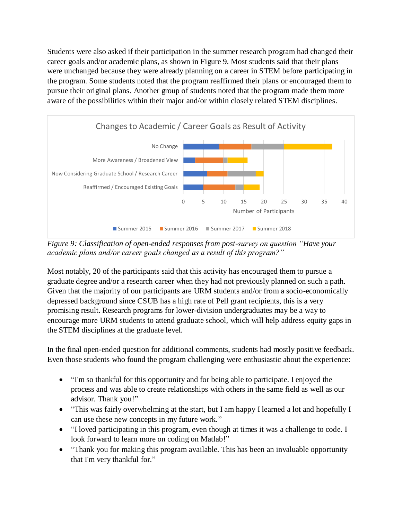Students were also asked if their participation in the summer research program had changed their career goals and/or academic plans, as shown in [Figure 9.](#page-11-0) Most students said that their plans were unchanged because they were already planning on a career in STEM before participating in the program. Some students noted that the program reaffirmed their plans or encouraged them to pursue their original plans. Another group of students noted that the program made them more aware of the possibilities within their major and/or within closely related STEM disciplines.



<span id="page-11-0"></span>*Figure 9: Classification of open-ended responses from post-survey on question "Have your academic plans and/or career goals changed as a result of this program?"*

Most notably, 20 of the participants said that this activity has encouraged them to pursue a graduate degree and/or a research career when they had not previously planned on such a path. Given that the majority of our participants are URM students and/or from a socio-economically depressed background since CSUB has a high rate of Pell grant recipients, this is a very promising result. Research programs for lower-division undergraduates may be a way to encourage more URM students to attend graduate school, which will help address equity gaps in the STEM disciplines at the graduate level.

In the final open-ended question for additional comments, students had mostly positive feedback. Even those students who found the program challenging were enthusiastic about the experience:

- "I'm so thankful for this opportunity and for being able to participate. I enjoyed the process and was able to create relationships with others in the same field as well as our advisor. Thank you!"
- "This was fairly overwhelming at the start, but I am happy I learned a lot and hopefully I can use these new concepts in my future work."
- "I loved participating in this program, even though at times it was a challenge to code. I look forward to learn more on coding on Matlab!"
- "Thank you for making this program available. This has been an invaluable opportunity that I'm very thankful for."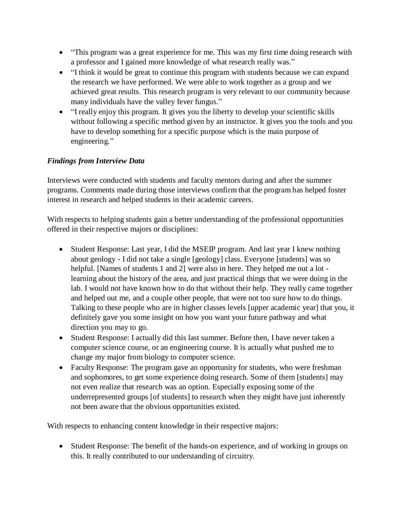- "This program was a great experience for me. This was my first time doing research with a professor and I gained more knowledge of what research really was."
- "I think it would be great to continue this program with students because we can expand the research we have performed. We were able to work together as a group and we achieved great results. This research program is very relevant to our community because many individuals have the valley fever fungus."
- "I really enjoy this program. It gives you the liberty to develop your scientific skills without following a specific method given by an instructor. It gives you the tools and you have to develop something for a specific purpose which is the main purpose of engineering."

# *Findings from Interview Data*

Interviews were conducted with students and faculty mentors during and after the summer programs. Comments made during those interviews confirm that the program has helped foster interest in research and helped students in their academic careers.

With respects to helping students gain a better understanding of the professional opportunities offered in their respective majors or disciplines:

- Student Response: Last year, I did the MSEIP program. And last year I knew nothing about geology - I did not take a single [geology] class. Everyone [students] was so helpful. [Names of students 1 and 2] were also in here. They helped me out a lot learning about the history of the area, and just practical things that we were doing in the lab. I would not have known how to do that without their help. They really came together and helped out me, and a couple other people, that were not too sure how to do things. Talking to these people who are in higher classes levels [upper academic year] that you, it definitely gave you some insight on how you want your future pathway and what direction you may to go.
- Student Response: I actually did this last summer. Before then, I have never taken a computer science course, or an engineering course. It is actually what pushed me to change my major from biology to computer science.
- Faculty Response: The program gave an opportunity for students, who were freshman and sophomores, to get some experience doing research. Some of them [students] may not even realize that research was an option. Especially exposing some of the underrepresented groups [of students] to research when they might have just inherently not been aware that the obvious opportunities existed.

With respects to enhancing content knowledge in their respective majors:

 Student Response: The benefit of the hands-on experience, and of working in groups on this. It really contributed to our understanding of circuitry.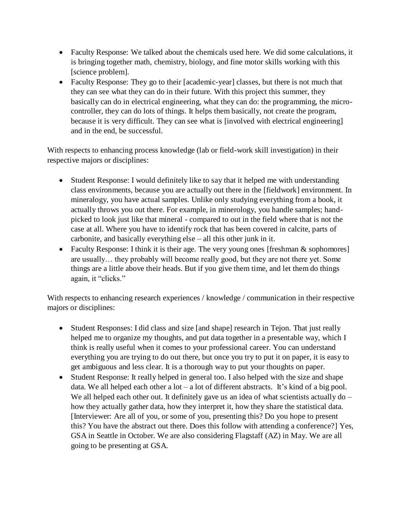- Faculty Response: We talked about the chemicals used here. We did some calculations, it is bringing together math, chemistry, biology, and fine motor skills working with this [science problem].
- Faculty Response: They go to their [academic-year] classes, but there is not much that they can see what they can do in their future. With this project this summer, they basically can do in electrical engineering, what they can do: the programming, the microcontroller, they can do lots of things. It helps them basically, not create the program, because it is very difficult. They can see what is [involved with electrical engineering] and in the end, be successful.

With respects to enhancing process knowledge (lab or field-work skill investigation) in their respective majors or disciplines:

- Student Response: I would definitely like to say that it helped me with understanding class environments, because you are actually out there in the [fieldwork] environment. In mineralogy, you have actual samples. Unlike only studying everything from a book, it actually throws you out there. For example, in minerology, you handle samples; handpicked to look just like that mineral - compared to out in the field where that is not the case at all. Where you have to identify rock that has been covered in calcite, parts of carbonite, and basically everything else – all this other junk in it.
- Faculty Response: I think it is their age. The very young ones [freshman  $&$  sophomores] are usually… they probably will become really good, but they are not there yet. Some things are a little above their heads. But if you give them time, and let them do things again, it "clicks."

With respects to enhancing research experiences / knowledge / communication in their respective majors or disciplines:

- Student Responses: I did class and size [and shape] research in Tejon. That just really helped me to organize my thoughts, and put data together in a presentable way, which I think is really useful when it comes to your professional career. You can understand everything you are trying to do out there, but once you try to put it on paper, it is easy to get ambiguous and less clear. It is a thorough way to put your thoughts on paper.
- Student Response: It really helped in general too. I also helped with the size and shape data. We all helped each other a lot – a lot of different abstracts. It's kind of a big pool. We all helped each other out. It definitely gave us an idea of what scientists actually  $do$ how they actually gather data, how they interpret it, how they share the statistical data. [Interviewer: Are all of you, or some of you, presenting this? Do you hope to present this? You have the abstract out there. Does this follow with attending a conference?] Yes, GSA in Seattle in October. We are also considering Flagstaff (AZ) in May. We are all going to be presenting at GSA.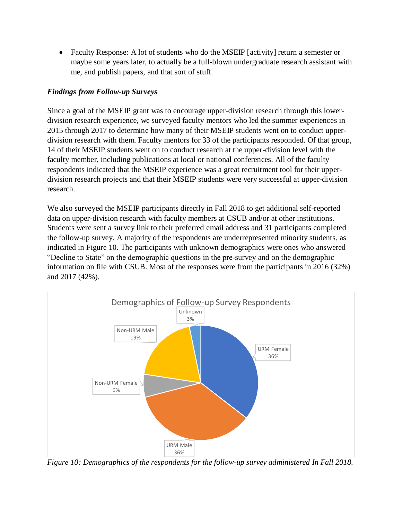• Faculty Response: A lot of students who do the MSEIP [activity] return a semester or maybe some years later, to actually be a full-blown undergraduate research assistant with me, and publish papers, and that sort of stuff.

# *Findings from Follow-up Surveys*

Since a goal of the MSEIP grant was to encourage upper-division research through this lowerdivision research experience, we surveyed faculty mentors who led the summer experiences in 2015 through 2017 to determine how many of their MSEIP students went on to conduct upperdivision research with them. Faculty mentors for 33 of the participants responded. Of that group, 14 of their MSEIP students went on to conduct research at the upper-division level with the faculty member, including publications at local or national conferences. All of the faculty respondents indicated that the MSEIP experience was a great recruitment tool for their upperdivision research projects and that their MSEIP students were very successful at upper-division research.

We also surveyed the MSEIP participants directly in Fall 2018 to get additional self-reported data on upper-division research with faculty members at CSUB and/or at other institutions. Students were sent a survey link to their preferred email address and 31 participants completed the follow-up survey. A majority of the respondents are underrepresented minority students, as indicated in [Figure 10.](#page-14-0) The participants with unknown demographics were ones who answered "Decline to State" on the demographic questions in the pre-survey and on the demographic information on file with CSUB. Most of the responses were from the participants in 2016 (32%) and 2017 (42%).



<span id="page-14-0"></span>*Figure 10: Demographics of the respondents for the follow-up survey administered In Fall 2018.*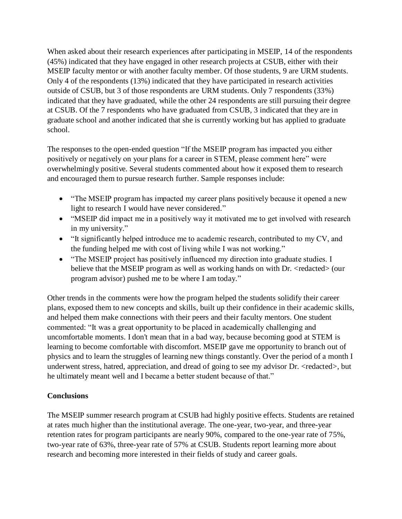When asked about their research experiences after participating in MSEIP, 14 of the respondents (45%) indicated that they have engaged in other research projects at CSUB, either with their MSEIP faculty mentor or with another faculty member. Of those students, 9 are URM students. Only 4 of the respondents (13%) indicated that they have participated in research activities outside of CSUB, but 3 of those respondents are URM students. Only 7 respondents (33%) indicated that they have graduated, while the other 24 respondents are still pursuing their degree at CSUB. Of the 7 respondents who have graduated from CSUB, 3 indicated that they are in graduate school and another indicated that she is currently working but has applied to graduate school.

The responses to the open-ended question "If the MSEIP program has impacted you either positively or negatively on your plans for a career in STEM, please comment here" were overwhelmingly positive. Several students commented about how it exposed them to research and encouraged them to pursue research further. Sample responses include:

- "The MSEIP program has impacted my career plans positively because it opened a new light to research I would have never considered."
- "MSEIP did impact me in a positively way it motivated me to get involved with research in my university."
- "It significantly helped introduce me to academic research, contributed to my CV, and the funding helped me with cost of living while I was not working."
- "The MSEIP project has positively influenced my direction into graduate studies. I believe that the MSEIP program as well as working hands on with Dr. <redacted> (our program advisor) pushed me to be where I am today."

Other trends in the comments were how the program helped the students solidify their career plans, exposed them to new concepts and skills, built up their confidence in their academic skills, and helped them make connections with their peers and their faculty mentors. One student commented: "It was a great opportunity to be placed in academically challenging and uncomfortable moments. I don't mean that in a bad way, because becoming good at STEM is learning to become comfortable with discomfort. MSEIP gave me opportunity to branch out of physics and to learn the struggles of learning new things constantly. Over the period of a month I underwent stress, hatred, appreciation, and dread of going to see my advisor Dr. <redacted>, but he ultimately meant well and I became a better student because of that."

# **Conclusions**

The MSEIP summer research program at CSUB had highly positive effects. Students are retained at rates much higher than the institutional average. The one-year, two-year, and three-year retention rates for program participants are nearly 90%, compared to the one-year rate of 75%, two-year rate of 63%, three-year rate of 57% at CSUB. Students report learning more about research and becoming more interested in their fields of study and career goals.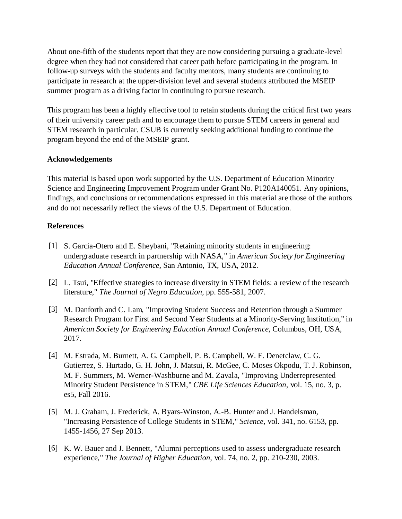About one-fifth of the students report that they are now considering pursuing a graduate-level degree when they had not considered that career path before participating in the program. In follow-up surveys with the students and faculty mentors, many students are continuing to participate in research at the upper-division level and several students attributed the MSEIP summer program as a driving factor in continuing to pursue research.

This program has been a highly effective tool to retain students during the critical first two years of their university career path and to encourage them to pursue STEM careers in general and STEM research in particular. CSUB is currently seeking additional funding to continue the program beyond the end of the MSEIP grant.

### **Acknowledgements**

This material is based upon work supported by the U.S. Department of Education Minority Science and Engineering Improvement Program under Grant No. P120A140051. Any opinions, findings, and conclusions or recommendations expressed in this material are those of the authors and do not necessarily reflect the views of the U.S. Department of Education.

#### **References**

- [1] S. Garcia-Otero and E. Sheybani, "Retaining minority students in engineering: undergraduate research in partnership with NASA," in *American Society for Engineering Education Annual Conference*, San Antonio, TX, USA, 2012.
- [2] L. Tsui, "Effective strategies to increase diversity in STEM fields: a review of the research literature," *The Journal of Negro Education,* pp. 555-581, 2007.
- [3] M. Danforth and C. Lam, "Improving Student Success and Retention through a Summer Research Program for First and Second Year Students at a Minority-Serving Institution," in *American Society for Engineering Education Annual Conference*, Columbus, OH, USA, 2017.
- [4] M. Estrada, M. Burnett, A. G. Campbell, P. B. Campbell, W. F. Denetclaw, C. G. Gutierrez, S. Hurtado, G. H. John, J. Matsui, R. McGee, C. Moses Okpodu, T. J. Robinson, M. F. Summers, M. Werner-Washburne and M. Zavala, "Improving Underrepresented Minority Student Persistence in STEM," *CBE Life Sciences Education,* vol. 15, no. 3, p. es5, Fall 2016.
- [5] M. J. Graham, J. Frederick, A. Byars-Winston, A.-B. Hunter and J. Handelsman, "Increasing Persistence of College Students in STEM," *Science,* vol. 341, no. 6153, pp. 1455-1456, 27 Sep 2013.
- [6] K. W. Bauer and J. Bennett, "Alumni perceptions used to assess undergraduate research experience," *The Journal of Higher Education,* vol. 74, no. 2, pp. 210-230, 2003.